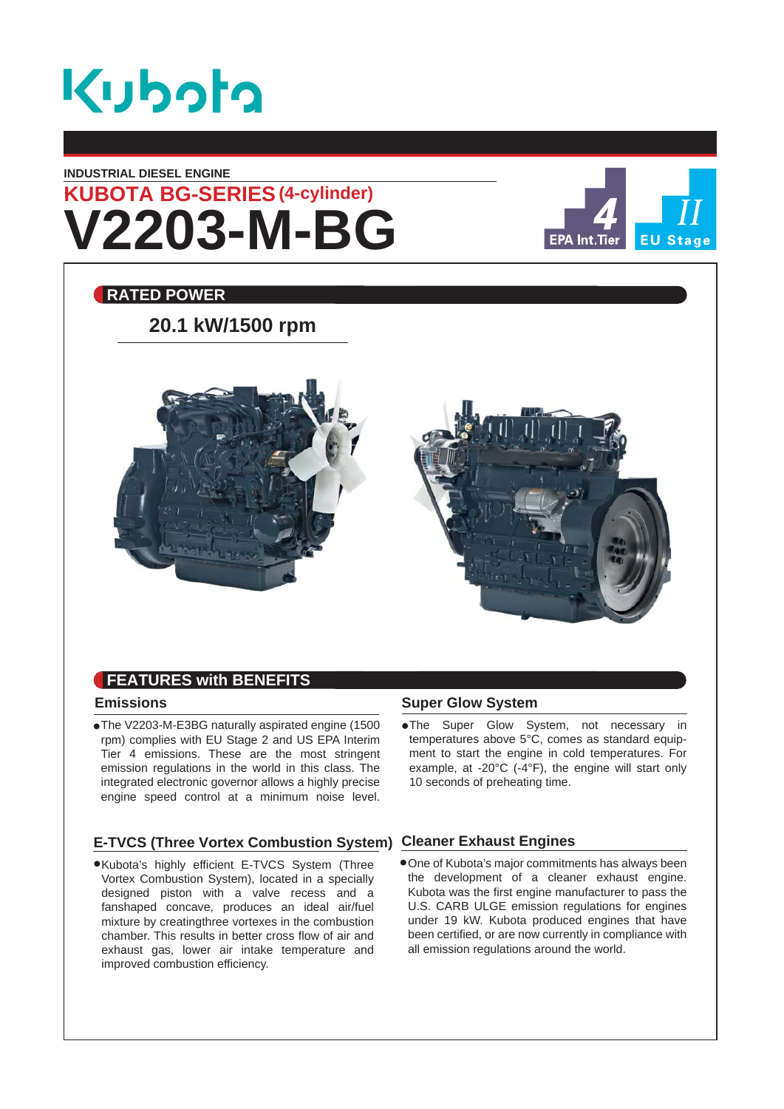

### **INDUSTRIAL DIESEL ENGINE**

# **V2203-M-BG KUBOTA BG-SERIES (4-cylinder)**



### **RATED POWER**

## **20.1 kW/1500 rpm**



### **FEATURES with BENEFITS**

### **Emissions**

The V2203-M-E3BG naturally aspirated engine (1500 rpm) complies with EU Stage 2 and US EPA Interim Tier 4 emissions. These are the most stringent emission regulations in the world in this class. The integrated electronic governor allows a highly precise engine speed control at a minimum noise level.

### **E-TVCS (Three Vortex Combustion System) Cleaner Exhaust Engines**

Kubota's highly efficient E-TVCS System (Three Vortex Combustion System), located in a specially designed piston with a valve recess and a fanshaped concave, produces an ideal air/fuel mixture by creatingthree vortexes in the combustion chamber. This results in better cross flow of air and exhaust gas, lower air intake temperature and improved combustion efficiency.

### **Super Glow System**

The Super Glow System, not necessary in temperatures above 5°C, comes as standard equipment to start the engine in cold temperatures. For example, at -20°C (-4°F), the engine will start only 10 seconds of preheating time.

One of Kubota's major commitments has always been the development of a cleaner exhaust engine. Kubota was the first engine manufacturer to pass the U.S. CARB ULGE emission regulations for engines under 19 kW. Kubota produced engines that have been certified, or are now currently in compliance with all emission regulations around the world.